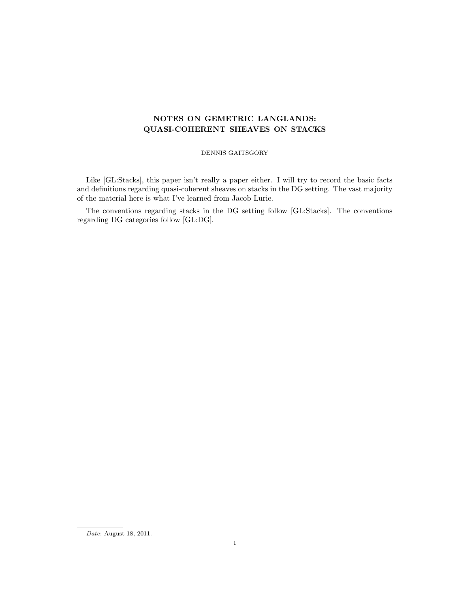# NOTES ON GEMETRIC LANGLANDS: QUASI-COHERENT SHEAVES ON STACKS

DENNIS GAITSGORY

Like [GL:Stacks], this paper isn't really a paper either. I will try to record the basic facts and definitions regarding quasi-coherent sheaves on stacks in the DG setting. The vast majority of the material here is what I've learned from Jacob Lurie.

The conventions regarding stacks in the DG setting follow [GL:Stacks]. The conventions regarding DG categories follow [GL:DG].

Date: August 18, 2011.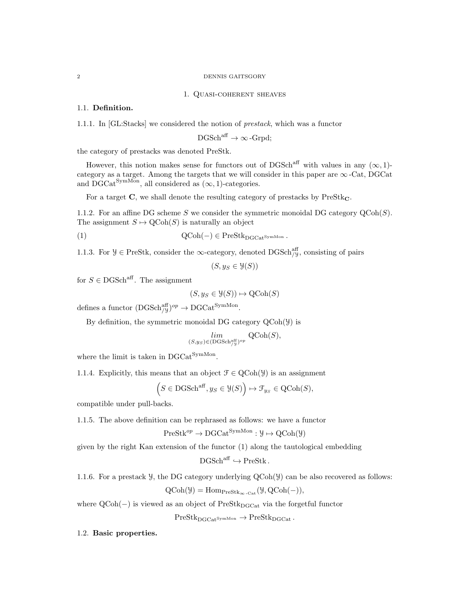#### 1. Quasi-coherent sheaves

# 1.1. Definition.

1.1.1. In [GL:Stacks] we considered the notion of prestack, which was a functor

$$
\mathrm{DGSch}^{\mathrm{aff}}\to\infty\,\text{-}\mathrm{Grpd};
$$

the category of prestacks was denoted PreStk.

However, this notion makes sense for functors out of DGSch<sup>aff</sup> with values in any  $(\infty, 1)$ category as a target. Among the targets that we will consider in this paper are  $\infty$ -Cat, DGCat and  $\mathrm{DGCat}^{\mathrm{SymMon}}$ , all considered as  $(\infty, 1)$ -categories.

For a target  $C$ , we shall denote the resulting category of prestacks by  $PreStk<sub>C</sub>$ .

1.1.2. For an affine DG scheme S we consider the symmetric monoidal DG category  $\mathcal{Q}(\text{Coh}(S))$ . The assignment  $S \mapsto \text{QCoh}(S)$  is naturally an object

(1) 
$$
QCoh(-) \in PreStk_{DGCat}^{SymMon}.
$$

1.1.3. For  $\mathcal{Y} \in \text{PreStk}$ , consider the  $\infty$ -category, denoted DGSch<sup>aff</sup>, consisting of pairs

 $(S, y_S \in \mathcal{Y}(S))$ 

for  $S \in \text{DGSch}^{\text{aff}}$ . The assignment

$$
(S, y_S \in \mathcal{Y}(S)) \mapsto \mathrm{QCoh}(S)
$$

defines a functor  $(DGSch_{/\mathcal{Y}}^{\text{aff}})^{op} \to DGCat^{SymMon}$ .

By definition, the symmetric monoidal DG category QCoh(Y) is

$$
\lim_{(S, y_S) \in (\text{DGSch}_{/y}^{\text{aff}})^{op}} \text{QCoh}(S),
$$

where the limit is taken in  $DGCat^{SymMon}$ .

1.1.4. Explicitly, this means that an object  $\mathcal{F} \in \text{QCoh}(\mathcal{Y})$  is an assignment

$$
(S \in \text{DGSch}^{\text{aff}}, y_S \in \mathcal{Y}(S)) \mapsto \mathcal{F}_{y_S} \in \text{QCoh}(S),
$$

compatible under pull-backs.

1.1.5. The above definition can be rephrased as follows: we have a functor

$$
PreStk^{op} \to DGCat^{SymMon}: \mathcal{Y} \mapsto QCoh(\mathcal{Y})
$$

given by the right Kan extension of the functor (1) along the tautological embedding

$$
DGSch^{aff} \hookrightarrow PreStk.
$$

1.1.6. For a prestack Y, the DG category underlying QCoh(Y) can be also recovered as follows:

$$
\mathrm{QCoh}(\mathcal{Y}) = \mathrm{Hom}_{\mathrm{PreStk}_{\infty}\text{-}\mathrm{Cat}}(\mathcal{Y}, \mathrm{QCoh}(-)),
$$

where  $QCoh(-)$  is viewed as an object of PreStk<sub>DGCat</sub> via the forgetful functor

 $PreStk<sub>DGCat</sub>SymMon \rightarrow PreStk<sub>DGCat</sub>$ .

1.2. Basic properties.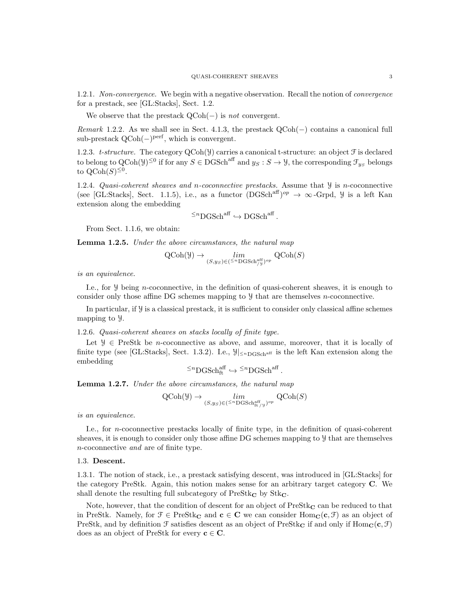1.2.1. Non-convergence. We begin with a negative observation. Recall the notion of convergence for a prestack, see [GL:Stacks], Sect. 1.2.

We observe that the prestack  $QCoh(-)$  is *not* convergent.

Remark 1.2.2. As we shall see in Sect. 4.1.3, the prestack  $QCoh(-)$  contains a canonical full  $sub-prestack QCoh(-)<sup>perf</sup>$ , which is convergent.

1.2.3. t-structure. The category  $\text{QCoh}(\mathcal{Y})$  carries a canonical t-structure: an object  $\mathcal{F}$  is declared to belong to  $Q\text{Coh}(\mathcal{Y})^{\leq 0}$  if for any  $S \in DGSch^{aff}$  and  $y_S : S \to \mathcal{Y}$ , the corresponding  $\mathcal{F}_{y_S}$  belongs to  $\mathrm{QCoh}(S)^{\leq 0}$ .

1.2.4. Quasi-coherent sheaves and n-coconnective prestacks. Assume that  $\mathcal{Y}$  is n-coconnective (see [GL:Stacks], Sect. 1.1.5), i.e., as a functor  $(DGSch^{aff})^{op} \to \infty$ -Grpd, *y* is a left Kan extension along the embedding

$$
{}^{\leq n}{\rm DGSch}^{\rm aff} \hookrightarrow {\rm DGSch}^{\rm aff}
$$

.

.

From Sect. 1.1.6, we obtain:

**Lemma 1.2.5.** Under the above circumstances, the natural map

$$
\operatorname{QCoh}(\mathcal{Y}) \to \lim_{(S, y_S) \in (\leq^n \operatorname{DGSch}^{\operatorname{aff}}_{/\mathcal{Y}})^{op}} \operatorname{QCoh}(S)
$$

is an equivalence.

I.e., for  $\mathcal Y$  being *n*-coconnective, in the definition of quasi-coherent sheaves, it is enough to consider only those affine DG schemes mapping to Y that are themselves n-coconnective.

In particular, if  $\mathcal Y$  is a classical prestack, it is sufficient to consider only classical affine schemes mapping to Y.

1.2.6. Quasi-coherent sheaves on stacks locally of finite type.

Let  $\mathcal{Y} \in \text{PreStk}$  be *n*-coconnective as above, and assume, moreover, that it is locally of finite type (see [GL:Stacks], Sect. 1.3.2). I.e.,  $\mathcal{Y}|_{\leq n_{\text{DGSchaff}}}$  is the left Kan extension along the embedding

$$
{}^{\leq n}\mathbf{DGSch}^{\mathrm{aff}}_{\mathrm{ft}}\hookrightarrow{}^{\leq n}\mathbf{DGSch}^{\mathrm{aff}}
$$

Lemma 1.2.7. Under the above circumstances, the natural map

$$
\operatorname{QCoh}(\mathcal{Y}) \to \lim_{(S, y_S) \in (\leq^n \operatorname{DGSch}_{\operatorname{ft}/\mathcal{Y}}^{\operatorname{aff}})^{op}} \operatorname{QCoh}(S)
$$

is an equivalence.

I.e., for n-coconnective prestacks locally of finite type, in the definition of quasi-coherent sheaves, it is enough to consider only those affine DG schemes mapping to Y that are themselves n-coconnective and are of finite type.

# 1.3. Descent.

1.3.1. The notion of stack, i.e., a prestack satisfying descent, was introduced in [GL:Stacks] for the category PreStk. Again, this notion makes sense for an arbitrary target category C. We shall denote the resulting full subcategory of  $PreStk_{\mathbb{C}}$  by  $Stk_{\mathbb{C}}$ .

Note, however, that the condition of descent for an object of  $PreStk<sub>C</sub>$  can be reduced to that in PreStk. Namely, for  $\mathcal{F} \in \text{PreStk}_{\mathbf{C}}$  and  $\mathbf{c} \in \mathbf{C}$  we can consider  $\text{Hom}_{\mathbf{C}}(\mathbf{c}, \mathcal{F})$  as an object of PreStk, and by definition  $\mathcal F$  satisfies descent as an object of PreStk<sub>C</sub> if and only if Hom<sub>C</sub>(c,  $\mathcal F$ ) does as an object of PreStk for every  $c \in C$ .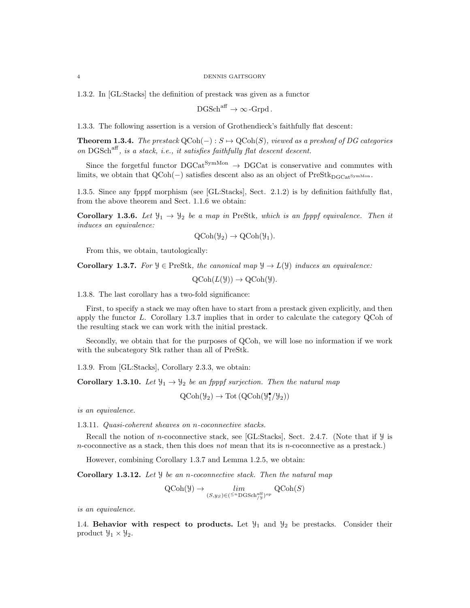1.3.2. In [GL:Stacks] the definition of prestack was given as a functor

 $DGSch<sup>aff</sup> \to \infty$ -Grpd.

1.3.3. The following assertion is a version of Grothendieck's faithfully flat descent:

**Theorem 1.3.4.** The prestack  $QCoh(-): S \rightarrow QCoh(S)$ , viewed as a presheaf of DG categories on DGSch<sup>aff</sup>, is a stack, i.e., it satisfies faithfully flat descent descent.

Since the forgetful functor  $DGCat^{SymMon} \rightarrow DGCat$  is conservative and commutes with limits, we obtain that  $QCoh(-)$  satisfies descent also as an object of PreStk<sub>DGCat</sub>symMon.

1.3.5. Since any fpppf morphism (see [GL:Stacks], Sect. 2.1.2) is by definition faithfully flat, from the above theorem and Sect. 1.1.6 we obtain:

**Corollary 1.3.6.** Let  $\mathcal{Y}_1 \rightarrow \mathcal{Y}_2$  be a map in PreStk, which is an fpppf equivalence. Then it induces an equivalence:

$$
\mathrm{QCoh}(\mathcal{Y}_2) \to \mathrm{QCoh}(\mathcal{Y}_1).
$$

From this, we obtain, tautologically:

**Corollary 1.3.7.** For  $\mathcal{Y} \in \text{PreStk}$ , the canonical map  $\mathcal{Y} \to L(\mathcal{Y})$  induces an equivalence:

 $QCoh(L(\mathcal{Y})) \rightarrow QCoh(\mathcal{Y}).$ 

1.3.8. The last corollary has a two-fold significance:

First, to specify a stack we may often have to start from a prestack given explicitly, and then apply the functor L. Corollary 1.3.7 implies that in order to calculate the category QCoh of the resulting stack we can work with the initial prestack.

Secondly, we obtain that for the purposes of QCoh, we will lose no information if we work with the subcategory Stk rather than all of PreStk.

1.3.9. From [GL:Stacks], Corollary 2.3.3, we obtain:

**Corollary 1.3.10.** Let  $\mathcal{Y}_1 \rightarrow \mathcal{Y}_2$  be an fpppf surjection. Then the natural map

 $\text{QCoh}(\mathcal{Y}_2) \to \text{Tot}(\text{QCoh}(\mathcal{Y}_1^{\bullet}/\mathcal{Y}_2))$ 

is an equivalence.

1.3.11. Quasi-coherent sheaves on n-coconnective stacks.

Recall the notion of *n*-coconnective stack, see [GL:Stacks], Sect. 2.4.7. (Note that if  $\mathcal{Y}$  is n-coconnective as a stack, then this does not mean that its is n-coconnective as a prestack.)

However, combining Corollary 1.3.7 and Lemma 1.2.5, we obtain:

Corollary 1.3.12. Let *Y* be an *n*-coconnective stack. Then the natural map

$$
\text{QCoh}(\mathcal{Y}) \to \lim_{(S,y_S) \in (\leq^n \text{DGSch}^{\text{aff}}_{/\mathcal{Y}})^{op}} \text{QCoh}(S)
$$

is an equivalence.

1.4. Behavior with respect to products. Let  $\mathcal{Y}_1$  and  $\mathcal{Y}_2$  be prestacks. Consider their product  $\mathcal{Y}_1 \times \mathcal{Y}_2$ .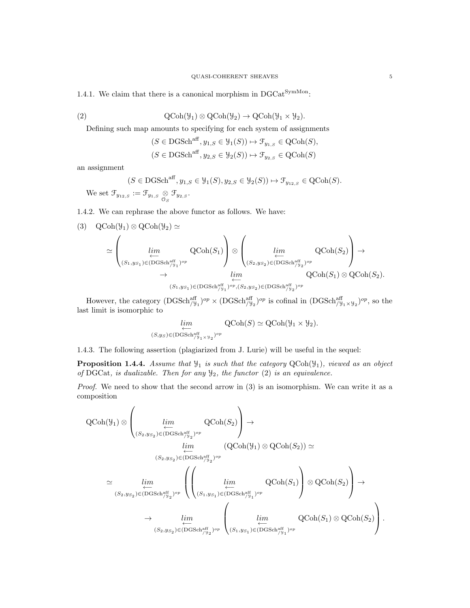1.4.1. We claim that there is a canonical morphism in  $DGCat^{SymMon}$ :

(2) 
$$
\mathrm{QCoh}(\mathcal{Y}_1) \otimes \mathrm{QCoh}(\mathcal{Y}_2) \to \mathrm{QCoh}(\mathcal{Y}_1 \times \mathcal{Y}_2).
$$

Defining such map amounts to specifying for each system of assignments

$$
(S \in \text{DGSch}^{\text{aff}}, y_{1,S} \in \mathcal{Y}_1(S)) \mapsto \mathcal{F}_{y_{1,S}} \in \text{QCoh}(S),
$$
  

$$
(S \in \text{DGSch}^{\text{aff}}, y_{2,S} \in \mathcal{Y}_2(S)) \mapsto \mathcal{F}_{y_{2,S}} \in \text{QCoh}(S)
$$

an assignment

$$
(S \in \text{DGSch}^{\text{aff}}, y_{1,S} \in \mathcal{Y}_1(S), y_{2,S} \in \mathcal{Y}_2(S)) \mapsto \mathcal{F}_{y_{12,S}} \in \text{QCoh}(S).
$$
  
We set  $\mathcal{F}_{y_{12,S}} := \mathcal{F}_{y_{1,S}} \underset{\mathcal{O}_S}{\otimes} \mathcal{F}_{y_{2,S}}.$ 

1.4.2. We can rephrase the above functor as follows. We have:

$$
(3) QCoh(\mathcal{Y}_{1}) \otimes QCoh(\mathcal{Y}_{2}) \simeq
$$
  
\n
$$
\simeq \left(\lim_{\substack{(S_{1},y_{S_{1}}) \in (DGSch_{f_{\mathcal{Y}_{1}}}^{aff})^{op} \\ \to \\ (S_{1},y_{S_{1}}) \in (DGSch_{f_{\mathcal{Y}_{1}}}^{aff})^{op}}} QCoh(S_{1})\right) \otimes \left(\lim_{\substack{(S_{2},y_{S_{2}}) \in (DGSch_{f_{\mathcal{Y}_{2}}}^{aff})^{op} \\ \to \\ QCoh(S_{1}) \otimes QCoh(S_{2})}} QCoh(S_{2}).
$$

However, the category  $(DGSch_{\substack{\gamma_{1}}{y_{1}}}^{\text{aff}})^{op} \times (DGSch_{\substack{\gamma_{2}}{y_{2}}}^{\text{aff}})^{op}$  is cofinal in  $(DGSch_{\substack{\gamma_{1} \gamma_{1}}}^{\text{aff}} \times \mathcal{Y}_{2})^{op}$ , so the last limit is isomorphic to

$$
\lim_{\substack{\longleftarrow \\ (S,y_S)\in(\text{DGSch}_{/y_1\times y_2})^{op}}} \text{QCoh}(S) \simeq \text{QCoh}(\mathcal{Y}_1 \times \mathcal{Y}_2).
$$

1.4.3. The following assertion (plagiarized from J. Lurie) will be useful in the sequel:

**Proposition 1.4.4.** Assume that  $\mathcal{Y}_1$  is such that the category  $QCoh(\mathcal{Y}_1)$ , viewed as an object of DGCat, is dualizable. Then for any  $\mathcal{Y}_2$ , the functor (2) is an equivalence.

Proof. We need to show that the second arrow in (3) is an isomorphism. We can write it as a composition

$$
\begin{split} \mathrm{QCoh}(\mathcal{Y}_{1}) & \otimes \left( \underset{(S_{2},y_{S_{2}}) \in (\mathrm{DGSch}_{/y_{2}}^{eff})^{op}}{\underbrace{\lim_{\substack{lim \ (S_{2},y_{S_{2}}) \in (\mathrm{DGSch}_{/y_{2}}^{eff})^{op}}} \mathrm{QCoh}(S_{2})} \right) \rightarrow \\ & \underset{(S_{2},y_{S_{2}}) \in (\mathrm{DGSch}_{/y_{2}}^{aff})^{op}}{\underbrace{\lim_{\substack{lim \ (S_{2},y_{S_{2}}) \in (\mathrm{DGSch}_{/y_{2}}^{aff})^{op}}} \left( \left( \underset{(S_{1},y_{S_{1}}) \in (\mathrm{DGSch}_{/y_{1}}^{aff})^{op}}{\underbrace{\lim_{\substack{lim \ (S_{2},y_{S_{2}}) \in (\mathrm{DGSch}_{/y_{2}}^{aff})^{op}}} \mathrm{QCoh}(S_{1})} \right) \otimes \mathrm{QCoh}(S_{2}) \right) \rightarrow} \\ & \underset{(S_{2},y_{S_{2}}) \in (\mathrm{DGSch}_{/y_{2}}^{aff})^{op}}{\underbrace{\lim_{\substack{lim \ (S_{2},y_{S_{2}}) \in (\mathrm{DGSch}_{/y_{1}}^{aff})^{op}}} \left( \underset{(S_{1},y_{S_{1}}) \in (\mathrm{DGSch}_{/y_{1}}^{aff})^{op}}{\underbrace{\lim_{\substack{lim \ (S_{2},y_{S_{2}}) \in (\mathrm{DGSch}_{/y_{1}}^{aff})^{op} \right) \rightarrow}}} \end{split}
$$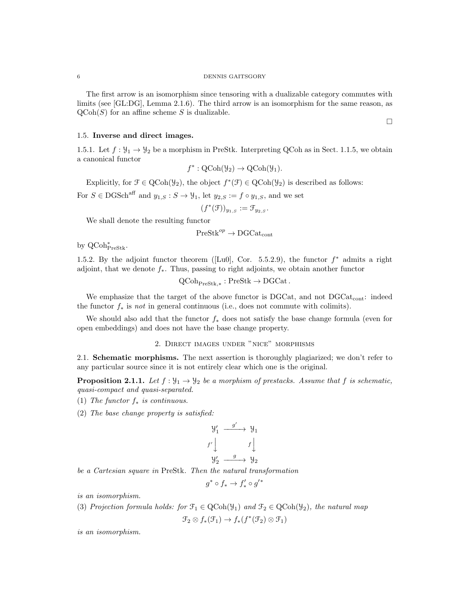The first arrow is an isomorphism since tensoring with a dualizable category commutes with limits (see [GL:DG], Lemma 2.1.6). The third arrow is an isomorphism for the same reason, as  $\mathrm{QCoh}(S)$  for an affine scheme S is dualizable.

 $\Box$ 

# 1.5. Inverse and direct images.

1.5.1. Let  $f: \mathcal{Y}_1 \to \mathcal{Y}_2$  be a morphism in PreStk. Interpreting QCoh as in Sect. 1.1.5, we obtain a canonical functor

$$
f^*: \mathrm{QCoh}(\mathcal{Y}_2) \to \mathrm{QCoh}(\mathcal{Y}_1).
$$

Explicitly, for  $\mathcal{F} \in \text{QCoh}(\mathcal{Y}_2)$ , the object  $f^*(\mathcal{F}) \in \text{QCoh}(\mathcal{Y}_2)$  is described as follows:

For  $S \in \text{DGSch}^{\text{aff}}$  and  $y_{1,S} : S \to \mathcal{Y}_1$ , let  $y_{2,S} := f \circ y_{1,S}$ , and we set

$$
(f^*(\mathfrak{F}))_{y_{1,S}} := \mathfrak{F}_{y_{2,S}}.
$$

We shall denote the resulting functor

$$
\mathsf{PreStk}^{op}\to \mathsf{DGCat}_{\mathrm{cont}}
$$

by QCoh<sup>∗</sup> PreStk.

1.5.2. By the adjoint functor theorem ([Lu0], Cor. 5.5.2.9), the functor  $f^*$  admits a right adjoint, that we denote  $f_*$ . Thus, passing to right adjoints, we obtain another functor

 $\mathrm{QCoh}_{\mathrm{PreStk}, *} : \mathrm{PreStk} \to \mathrm{DGCat}$ .

We emphasize that the target of the above functor is DGCat, and not DGCat<sub>cont</sub>: indeed the functor  $f_*$  is not in general continuous (i.e., does not commute with colimits).

We should also add that the functor  $f_*$  does not satisfy the base change formula (even for open embeddings) and does not have the base change property.

2. Direct images under "nice" morphisms

2.1. Schematic morphisms. The next assertion is thoroughly plagiarized; we don't refer to any particular source since it is not entirely clear which one is the original.

**Proposition 2.1.1.** Let  $f : \mathcal{Y}_1 \to \mathcal{Y}_2$  be a morphism of prestacks. Assume that f is schematic, quasi-compact and quasi-separated.

- (1) The functor  $f_*$  is continuous.
- (2) The base change property is satisfied:

$$
\begin{array}{ccc}\n\mathcal{Y}'_1 & \xrightarrow{g'} & \mathcal{Y}_1 \\
f' \downarrow & & f \downarrow \\
\mathcal{Y}'_2 & \xrightarrow{g} & \mathcal{Y}_2\n\end{array}
$$

be a Cartesian square in PreStk. Then the natural transformation

$$
g^* \circ f_* \to f'_* \circ g'^*
$$

is an isomorphism.

(3) Projection formula holds: for  $\mathfrak{F}_1 \in \text{QCoh}(\mathcal{Y}_1)$  and  $\mathfrak{F}_2 \in \text{QCoh}(\mathcal{Y}_2)$ , the natural map

$$
\mathfrak{F}_2 \otimes f_*(\mathfrak{F}_1) \to f_*(f^*(\mathfrak{F}_2) \otimes \mathfrak{F}_1)
$$

is an isomorphism.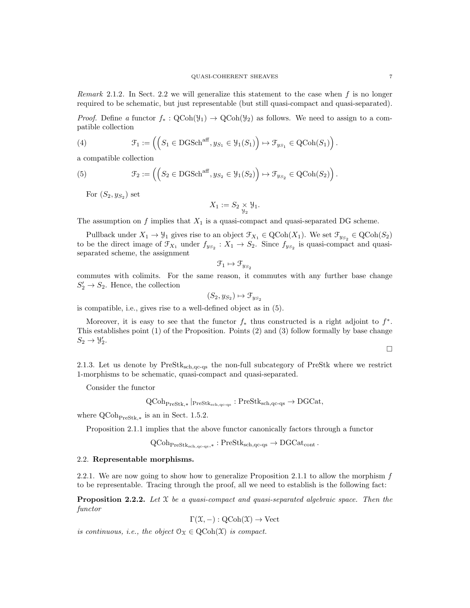Remark 2.1.2. In Sect. 2.2 we will generalize this statement to the case when  $f$  is no longer required to be schematic, but just representable (but still quasi-compact and quasi-separated).

*Proof.* Define a functor  $f_* : \text{QCoh}(\mathcal{Y}_1) \to \text{QCoh}(\mathcal{Y}_2)$  as follows. We need to assign to a compatible collection

(4) 
$$
\mathcal{F}_1 := \left( \left( S_1 \in \text{DGSch}^{\text{aff}}, y_{S_1} \in \mathcal{Y}_1(S_1) \right) \mapsto \mathcal{F}_{y_{S_1}} \in \text{QCoh}(S_1) \right).
$$

a compatible collection

(5) 
$$
\mathcal{F}_2 := \left( \left( S_2 \in \text{DGSch}^{\text{aff}}, y_{S_2} \in \mathcal{Y}_1(S_2) \right) \mapsto \mathcal{F}_{y_{S_2}} \in \text{QCoh}(S_2) \right).
$$

For  $(S_2, y_{S_2})$  set

$$
X_1 := S_2 \underset{\mathcal{Y}_2}{\times} \mathcal{Y}_1.
$$

The assumption on  $f$  implies that  $X_1$  is a quasi-compact and quasi-separated DG scheme.

Pullback under  $X_1 \to \mathcal{Y}_1$  gives rise to an object  $\mathcal{F}_{X_1} \in \text{QCoh}(X_1)$ . We set  $\mathcal{F}_{y_{S_2}} \in \text{QCoh}(S_2)$ to be the direct image of  $\mathcal{F}_{X_1}$  under  $f_{y_{S_2}}: X_1 \to S_2$ . Since  $f_{y_{S_2}}$  is quasi-compact and quasiseparated scheme, the assignment

$$
\mathcal{F}_1 \mapsto \mathcal{F}_{y_{S_2}}
$$

commutes with colimits. For the same reason, it commutes with any further base change  $S'_2 \to S_2$ . Hence, the collection

$$
(S_2, y_{S_2}) \mapsto \mathcal{F}_{y_{S_2}}
$$

is compatible, i.e., gives rise to a well-defined object as in (5).

Moreover, it is easy to see that the functor  $f_*$  thus constructed is a right adjoint to  $f^*$ . This establishes point (1) of the Proposition. Points (2) and (3) follow formally by base change  $S_2 \rightarrow \mathcal{Y}'_2.$ 

$$
\Box
$$

2.1.3. Let us denote by PreStksch,qc-qs the non-full subcategory of PreStk where we restrict 1-morphisms to be schematic, quasi-compact and quasi-separated.

Consider the functor

$$
\operatorname{QCoh}_{\operatorname{PreStk},*}\vert_{\operatorname{PreStk}_{\operatorname{sch},\operatorname{qc-qs}}}:\operatorname{PreStk}_{\operatorname{sch},\operatorname{qc-qs}}\to \operatorname{DGCat},
$$

where  $\text{QCoh}_{\text{PreStk},*}$  is an in Sect. 1.5.2.

Proposition 2.1.1 implies that the above functor canonically factors through a functor

$$
\operatorname{QCoh}_{\operatorname{PreStk}_{\operatorname{sch},\operatorname{qc-qs}},*}: \operatorname{PreStk}_{\operatorname{sch},\operatorname{qc-qs}} \to \operatorname{DGCat}_{\operatorname{cont}}.
$$

## 2.2. Representable morphisms.

2.2.1. We are now going to show how to generalize Proposition 2.1.1 to allow the morphism f to be representable. Tracing through the proof, all we need to establish is the following fact:

**Proposition 2.2.2.** Let  $X$  be a quasi-compact and quasi-separated algebraic space. Then the functor

$$
\Gamma(\mathfrak{X},-): \mathrm{QCoh}(\mathfrak{X}) \to \mathrm{Vect}
$$

is continuous, i.e., the object  $\mathcal{O}_{\mathfrak{X}} \in \mathrm{QCoh}(\mathfrak{X})$  is compact.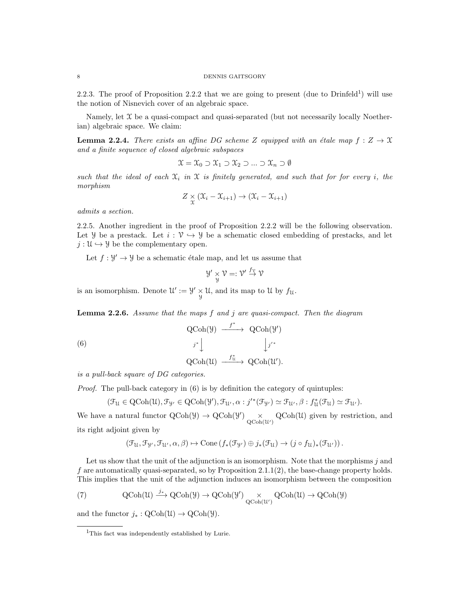2.2.3. The proof of Proposition 2.2.2 that we are going to present (due to Drinfeld<sup>1</sup>) will use the notion of Nisnevich cover of an algebraic space.

Namely, let  $X$  be a quasi-compact and quasi-separated (but not necessarily locally Noetherian) algebraic space. We claim:

**Lemma 2.2.4.** There exists an affine DG scheme Z equipped with an étale map  $f : Z \to \mathcal{X}$ and a finite sequence of closed algebraic subspaces

$$
\mathfrak{X} = \mathfrak{X}_0 \supset \mathfrak{X}_1 \supset \mathfrak{X}_2 \supset \ldots \supset \mathfrak{X}_n \supset \emptyset
$$

such that the ideal of each  $\mathfrak{X}_i$  in  $\mathfrak X$  is finitely generated, and such that for for every i, the morphism

$$
Z \underset{\mathfrak{X}}{\times} (\mathfrak{X}_i - \mathfrak{X}_{i+1}) \to (\mathfrak{X}_i - \mathfrak{X}_{i+1})
$$

admits a section.

2.2.5. Another ingredient in the proof of Proposition 2.2.2 will be the following observation. Let *Y* be a prestack. Let  $i: \mathcal{V} \hookrightarrow \mathcal{Y}$  be a schematic closed embedding of prestacks, and let  $j: \mathfrak{U} \hookrightarrow \mathfrak{Y}$  be the complementary open.

Let  $f: \mathcal{Y}' \to \mathcal{Y}$  be a schematic étale map, and let us assume that

$$
\mathcal{Y'}\underset{\mathcal{Y}}{\times}\mathcal{V}=:\mathcal{V'}\overset{f_{\mathcal{V}}}{\rightarrow}\mathcal{V}
$$

is an isomorphism. Denote  $\mathcal{U}' := \mathcal{Y}' \times \mathcal{U}$ , and its map to  $\mathcal{U}$  by  $f_{\mathcal{U}}$ .

**Lemma 2.2.6.** Assume that the maps  $f$  and  $j$  are quasi-compact. Then the diagram

(6) 
$$
\operatorname{QCoh}(\mathcal{Y}) \xrightarrow{f^*} \operatorname{QCoh}(\mathcal{Y}')
$$

$$
j^* \downarrow \qquad \qquad j'^*
$$

$$
\operatorname{QCoh}(\mathcal{U}) \xrightarrow{f^*_{\mathcal{U}}} \operatorname{QCoh}(\mathcal{U}').
$$

is a pull-back square of DG categories.

Proof. The pull-back category in  $(6)$  is by definition the category of quintuples:

$$
(\mathfrak{F}_{\mathcal{U}}\in \mathrm{QCoh}(\mathcal{U}), \mathfrak{F}_{\mathcal{Y}'}\in \mathrm{QCoh}(\mathcal{Y}'), \mathfrak{F}_{\mathcal{U}'}, \alpha : j'^*(\mathfrak{F}_{\mathcal{Y}'})\simeq \mathfrak{F}_{\mathcal{U}'}, \beta : f_{\mathcal{U}}^*(\mathfrak{F}_{\mathcal{U}})\simeq \mathfrak{F}_{\mathcal{U}'}).
$$

We have a natural functor  $QCoh(\mathcal{Y}) \to QCoh(\mathcal{Y}') \times QCoh(\mathcal{U})$  given by restriction, and its right adjoint given by

$$
(\mathfrak{F}_{\mathfrak{U}}, \mathfrak{F}_{\mathfrak{V}'}, \mathfrak{F}_{\mathfrak{U}'}, \alpha, \beta) \mapsto \mathrm{Cone}\left(f_*(\mathfrak{F}_{\mathfrak{Y}'} )\oplus j_*(\mathfrak{F}_{\mathfrak{U}}) \to (j \circ f_{\mathfrak{U}})_*(\mathfrak{F}_{\mathfrak{U}'} )\right).
$$

Let us show that the unit of the adjunction is an isomorphism. Note that the morphisms  $j$  and f are automatically quasi-separated, so by Proposition  $2.1.1(2)$ , the base-change property holds. This implies that the unit of the adjunction induces an isomorphism between the composition

(7) 
$$
\mathrm{QCoh}(\mathfrak{U}) \xrightarrow{j_*} \mathrm{QCoh}(\mathcal{Y}) \to \mathrm{QCoh}(\mathcal{Y}') \underset{\mathrm{QCoh}(\mathcal{U}')}{}{\times} \mathrm{QCoh}(\mathcal{U}) \to \mathrm{QCoh}(\mathcal{Y})
$$

and the functor  $j_* : \text{QCoh}(\mathfrak{U}) \to \text{QCoh}(\mathfrak{Y})$ .

<sup>&</sup>lt;sup>1</sup>This fact was independently established by Lurie.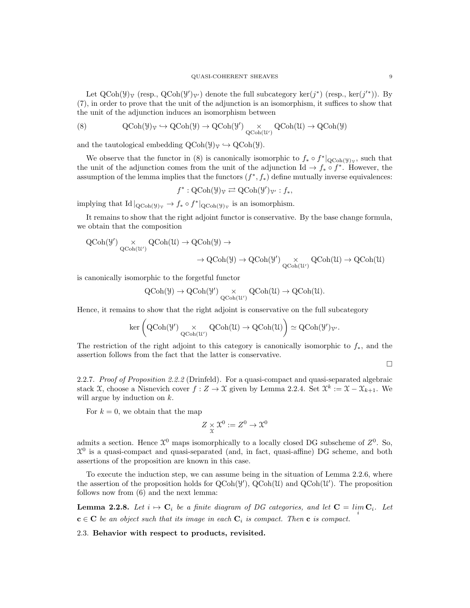Let  $QCoh(\mathcal{Y})\gamma$  (resp.,  $QCoh(\mathcal{Y}')\gamma$ ) denote the full subcategory ker(j<sup>\*</sup>) (resp., ker(j<sup>'\*</sup>)). By (7), in order to prove that the unit of the adjunction is an isomorphism, it suffices to show that the unit of the adjunction induces an isomorphism between

(8) 
$$
Q\text{Coh}(\mathcal{Y})_{\mathcal{V}} \hookrightarrow Q\text{Coh}(\mathcal{Y}) \to Q\text{Coh}(\mathcal{Y}') \underset{Q\text{Coh}(\mathcal{U}')}{{\times}} Q\text{Coh}(\mathcal{U}) \to Q\text{Coh}(\mathcal{Y})
$$

and the tautological embedding  $QCoh(\mathcal{Y})\gamma \hookrightarrow QCoh(\mathcal{Y})$ .

We observe that the functor in (8) is canonically isomorphic to  $f_* \circ f^*|_{\text{QCoh}(\mathcal{Y})_{\mathcal{V}}}$ , such that the unit of the adjunction comes from the unit of the adjunction Id  $\rightarrow f_* \circ f^*$ . However, the assumption of the lemma implies that the functors  $(f^*, f_*)$  define mutually inverse equivalences:

$$
f^*: \mathrm{QCoh}(\mathcal{Y})_{\mathcal{V}} \rightleftarrows \mathrm{QCoh}(\mathcal{Y}')_{\mathcal{V}'} : f_*,
$$

implying that Id  $|_{Q\text{Coh}(\mathcal{Y})_{\mathcal{V}}} \to f_* \circ f^*|_{Q\text{Coh}(\mathcal{Y})_{\mathcal{V}}}$  is an isomorphism.

It remains to show that the right adjoint functor is conservative. By the base change formula, we obtain that the composition

$$
\begin{aligned} \mathrm{QCoh}(\mathcal{Y}') & \underset{\mathrm{QCoh}(\mathcal{U}')} {\times} \mathrm{QCoh}(\mathcal{U}) \rightarrow \mathrm{QCoh}(\mathcal{Y}) \rightarrow \\ & \rightarrow \mathrm{QCoh}(\mathcal{Y}) \rightarrow \mathrm{QCoh}(\mathcal{Y}') \underset{\mathrm{QCoh}(\mathcal{U}')} {\times} \mathrm{QCoh}(\mathcal{U}) \rightarrow \mathrm{QCoh}(\mathcal{U}) \end{aligned}
$$

is canonically isomorphic to the forgetful functor

$$
\mathrm{QCoh}(\mathcal{Y}) \to \mathrm{QCoh}(\mathcal{Y}') \underset{\mathrm{QCoh}(\mathcal{U}')} {\times} \mathrm{QCoh}(\mathcal{U}) \to \mathrm{QCoh}(\mathcal{U}).
$$

Hence, it remains to show that the right adjoint is conservative on the full subcategory

$$
\ker\left(\operatorname{QCoh}(\mathcal{Y}') \underset{\operatorname{QCoh}(\mathcal{U}')} {\times} \operatorname{QCoh}(\mathcal{U}) \to \operatorname{QCoh}(\mathcal{U})\right) \simeq \operatorname{QCoh}(\mathcal{Y}')_{\mathcal{V}'}.
$$

The restriction of the right adjoint to this category is canonically isomorphic to  $f_*$ , and the assertion follows from the fact that the latter is conservative.

 $\Box$ 

2.2.7. Proof of Proposition 2.2.2 (Drinfeld). For a quasi-compact and quasi-separated algebraic stack  $\mathfrak{X}$ , choose a Nisnevich cover  $f: Z \to \mathfrak{X}$  given by Lemma 2.2.4. Set  $\mathfrak{X}^k := \mathfrak{X} - \mathfrak{X}_{k+1}$ . We will argue by induction on  $k$ .

For  $k = 0$ , we obtain that the map

$$
Z \underset{\mathfrak{X}}{\times} \mathfrak{X}^0 := Z^0 \to \mathfrak{X}^0
$$

admits a section. Hence  $\mathfrak{X}^0$  maps isomorphically to a locally closed DG subscheme of  $Z^0$ . So,  $\mathcal{X}^0$  is a quasi-compact and quasi-separated (and, in fact, quasi-affine) DG scheme, and both assertions of the proposition are known in this case.

To execute the induction step, we can assume being in the situation of Lemma 2.2.6, where the assertion of the proposition holds for  $Q\text{Coh}(\mathcal{Y})$ ,  $Q\text{Coh}(\mathcal{U})$  and  $Q\text{Coh}(\mathcal{U}')$ . The proposition follows now from (6) and the next lemma:

**Lemma 2.2.8.** Let  $i \mapsto \mathbf{C}_i$  be a finite diagram of DG categories, and let  $\mathbf{C} = \lim_i \mathbf{C}_i$ . Let  $c \in C$  be an object such that its image in each  $C_i$  is compact. Then c is compact.

2.3. Behavior with respect to products, revisited.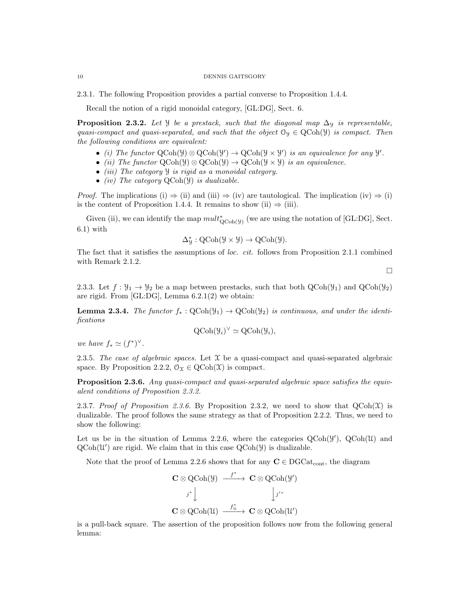2.3.1. The following Proposition provides a partial converse to Proposition 1.4.4.

Recall the notion of a rigid monoidal category, [GL:DG], Sect. 6.

**Proposition 2.3.2.** Let *Y* be a prestack, such that the diagonal map  $\Delta$ *y* is representable, quasi-compact and quasi-separated, and such that the object  $\mathcal{O}_\mathcal{Y} \in \text{QCoh}(\mathcal{Y})$  is compact. Then the following conditions are equivalent:

- (i) The functor  $\text{QCoh}(\mathcal{Y}) \otimes \text{QCoh}(\mathcal{Y}') \to \text{QCoh}(\mathcal{Y} \times \mathcal{Y}')$  is an equivalence for any  $\mathcal{Y}'$ .
- (ii) The functor  $\text{QCoh}(\mathcal{Y}) \otimes \text{QCoh}(\mathcal{Y}) \to \text{QCoh}(\mathcal{Y} \times \mathcal{Y})$  is an equivalence.
- *(iii)* The category  $\mathcal{Y}$  is rigid as a monoidal category.
- *(iv)* The category  $QCoh(\mathcal{Y})$  is dualizable.

*Proof.* The implications (i)  $\Rightarrow$  (ii) and (iii)  $\Rightarrow$  (iv) are tautological. The implication (iv)  $\Rightarrow$  (i) is the content of Proposition 1.4.4. It remains to show (ii)  $\Rightarrow$  (iii).

Given (ii), we can identify the map  $mult_{QCoh(y)}^*$  (we are using the notation of [GL:DG], Sect. 6.1) with

$$
\Delta_{\mathcal{Y}}^* : \mathrm{QCoh}(\mathcal{Y} \times \mathcal{Y}) \to \mathrm{QCoh}(\mathcal{Y}).
$$

The fact that it satisfies the assumptions of loc. cit. follows from Proposition 2.1.1 combined with Remark 2.1.2.

 $\Box$ 

2.3.3. Let  $f: \mathcal{Y}_1 \to \mathcal{Y}_2$  be a map between prestacks, such that both  $QCoh(\mathcal{Y}_1)$  and  $QCoh(\mathcal{Y}_2)$ are rigid. From [GL:DG], Lemma 6.2.1(2) we obtain:

**Lemma 2.3.4.** The functor  $f_* : \text{QCoh}(\mathcal{Y}_1) \to \text{QCoh}(\mathcal{Y}_2)$  is continuous, and under the identifications

$$
Q\text{Coh}(\mathcal{Y}_i)^{\vee} \simeq Q\text{Coh}(\mathcal{Y}_i),
$$

we have  $f_* \simeq (f^*)^\vee$ .

2.3.5. The case of algebraic spaces. Let  $\mathcal X$  be a quasi-compact and quasi-separated algebraic space. By Proposition 2.2.2,  $\mathcal{O}_{\mathcal{X}} \in \mathrm{QCoh}(\mathcal{X})$  is compact.

Proposition 2.3.6. Any quasi-compact and quasi-separated algebraic space satisfies the equivalent conditions of Proposition 2.3.2.

2.3.7. Proof of Proposition 2.3.6. By Proposition 2.3.2, we need to show that  $QCoh(\mathcal{X})$  is dualizable. The proof follows the same strategy as that of Proposition 2.2.2. Thus, we need to show the following:

Let us be in the situation of Lemma 2.2.6, where the categories  $QCoh(\mathcal{Y})$ ,  $QCoh(\mathcal{U})$  and  $QCoh(\mathcal{U}')$  are rigid. We claim that in this case  $QCoh(\mathcal{Y})$  is dualizable.

Note that the proof of Lemma 2.2.6 shows that for any  $C \in DGCat_{cont}$ , the diagram

$$
\begin{array}{ccc}\n\mathbf{C}\otimes\operatorname{QCoh}(\mathcal{Y}) & \xrightarrow{f^*} & \mathbf{C}\otimes\operatorname{QCoh}(\mathcal{Y}')\\
 & & & j^*\downarrow & & \downarrow{j'^*}\\
\mathbf{C}\otimes\operatorname{QCoh}(\mathcal{U}) & \xrightarrow{f^*_{\mathcal{U}}} & \mathbf{C}\otimes\operatorname{QCoh}(\mathcal{U}')\n\end{array}
$$

is a pull-back square. The assertion of the proposition follows now from the following general lemma: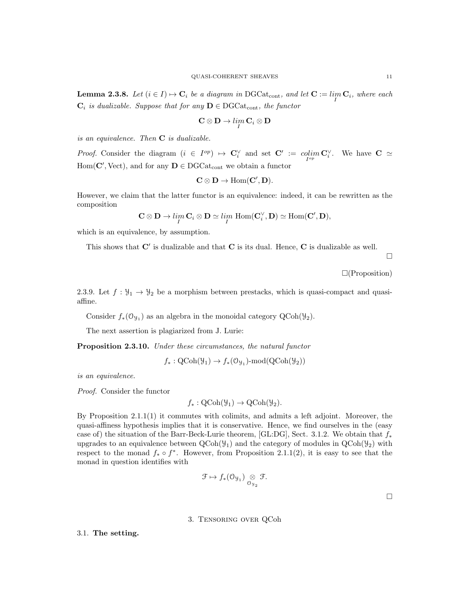**Lemma 2.3.8.** Let  $(i \in I) \mapsto \mathbf{C}_i$  be a diagram in DGCat<sub>cont</sub>, and let  $\mathbf{C} := \lim_{I} \mathbf{C}_i$ , where each  $\mathbf{C}_i$  is dualizable. Suppose that for any  $\mathbf{D} \in \text{DGCat}_{\text{cont}}$ , the functor

$$
\mathbf{C}\otimes\mathbf{D}\to\lim_{I}\mathbf{C}_i\otimes\mathbf{D}
$$

is an equivalence. Then  $C$  is dualizable.

*Proof.* Consider the diagram  $(i \in I^{op}) \mapsto \mathbf{C}_i^{\vee}$  and set  $\mathbf{C}' := colim_{I^{op}} \mathbf{C}_i^{\vee}$ . We have  $\mathbf{C} \simeq$  $Hom(C', Vect)$ , and for any  $D \in DGCat_{cont}$  we obtain a functor

$$
C\otimes D\to \operatorname{Hom}(C',D).
$$

However, we claim that the latter functor is an equivalence: indeed, it can be rewritten as the composition

$$
\mathbf{C}\otimes \mathbf{D}\to \lim_I \mathbf{C}_i\otimes \mathbf{D}\simeq \lim_I \text{Hom}(\mathbf{C}_i^{\vee},\mathbf{D})\simeq \text{Hom}(\mathbf{C}',\mathbf{D}),
$$

which is an equivalence, by assumption.

This shows that  $C'$  is dualizable and that  $C$  is its dual. Hence,  $C$  is dualizable as well.

 $\Box$ 

 $\square$ (Proposition)

2.3.9. Let  $f: \mathcal{Y}_1 \to \mathcal{Y}_2$  be a morphism between prestacks, which is quasi-compact and quasiaffine.

Consider  $f_*(\mathfrak{O}_{\mathfrak{Y}_1})$  as an algebra in the monoidal category  $\text{QCoh}(\mathcal{Y}_2)$ .

The next assertion is plagiarized from J. Lurie:

Proposition 2.3.10. Under these circumstances, the natural functor

 $f_*: \text{QCoh}(\mathcal{Y}_1) \to f_*(\mathcal{O}_{\mathcal{Y}_1})\text{-}\text{mod}(\text{QCoh}(\mathcal{Y}_2))$ 

is an equivalence.

Proof. Consider the functor

$$
f_*: \mathrm{QCoh}(\mathcal{Y}_1) \to \mathrm{QCoh}(\mathcal{Y}_2).
$$

By Proposition 2.1.1(1) it commutes with colimits, and admits a left adjoint. Moreover, the quasi-affiness hypothesis implies that it is conservative. Hence, we find ourselves in the (easy case of) the situation of the Barr-Beck-Lurie theorem, [GL:DG], Sect. 3.1.2. We obtain that  $f_*$ upgrades to an equivalence between  $Q\text{Coh}(\mathcal{Y}_1)$  and the category of modules in  $Q\text{Coh}(\mathcal{Y}_2)$  with respect to the monad  $f_* \circ f^*$ . However, from Proposition 2.1.1(2), it is easy to see that the monad in question identifies with

$$
\mathcal{F} \mapsto f_*(\mathcal{O}_{\mathcal{Y}_1}) \underset{\mathcal{O}_{\mathcal{Y}_2}}{\otimes} \mathcal{F}.
$$

 $\Box$ 

## 3. Tensoring over QCoh

3.1. The setting.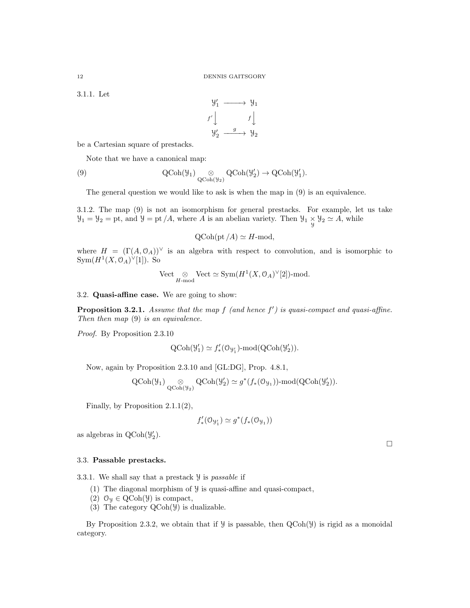3.1.1. Let

$$
\begin{array}{ccc}\n\mathcal{Y}'_1 & \longrightarrow & \mathcal{Y}_1 \\
f' \downarrow & & f \downarrow \\
\mathcal{Y}'_2 & \xrightarrow{g} & \mathcal{Y}_2\n\end{array}
$$

be a Cartesian square of prestacks.

Note that we have a canonical map:

(9) 
$$
\operatorname{QCoh}(\mathcal{Y}_1) \underset{\operatorname{QCoh}(\mathcal{Y}_2)}{\otimes} \operatorname{QCoh}(\mathcal{Y}_2') \to \operatorname{QCoh}(\mathcal{Y}_1').
$$

The general question we would like to ask is when the map in (9) is an equivalence.

3.1.2. The map (9) is not an isomorphism for general prestacks. For example, let us take  $\mathcal{Y}_1 = \mathcal{Y}_2 = \text{pt}$ , and  $\mathcal{Y} = \text{pt}/A$ , where A is an abelian variety. Then  $\mathcal{Y}_1 \underset{\mathcal{Y}}{\times} \mathcal{Y}_2 \simeq A$ , while

$$
Q\text{Coh}(\text{pt}/A) \simeq H\text{-mod},
$$

where  $H = (\Gamma(A, 0_A))^{\vee}$  is an algebra with respect to convolution, and is isomorphic to  $Sym(H^1(X,\mathcal{O}_A)^{\vee}[1])$ . So

$$
\label{eq:vect} \mathrm{Vect} \underset{H\text{-}\mathrm{mod}}{\otimes} \mathrm{Vect} \simeq \mathrm{Sym}(H^1(X,\mathbb{O}_A)^\vee[2])\text{-}\mathrm{mod}.
$$

3.2. Quasi-affine case. We are going to show:

**Proposition 3.2.1.** Assume that the map  $f$  (and hence  $f'$ ) is quasi-compact and quasi-affine. Then then map  $(9)$  is an equivalence.

Proof. By Proposition 2.3.10

$$
\text{QCoh}(\mathcal{Y}'_1) \simeq f'_*(\mathcal{O}_{\mathcal{Y}'_1})\text{-}\mathrm{mod}(\text{QCoh}(\mathcal{Y}'_2)).
$$

Now, again by Proposition 2.3.10 and [GL:DG], Prop. 4.8.1,

$$
\operatorname{QCoh}(\mathcal{Y}_1) \underset{\operatorname{QCoh}(\mathcal{Y}_2)}{\otimes} \operatorname{QCoh}(\mathcal{Y}'_2) \simeq g^*(f_*(\mathcal{O}_{\mathcal{Y}_1}))\text{-}\operatorname{mod}(\operatorname{QCoh}(\mathcal{Y}'_2)).
$$

Finally, by Proposition 2.1.1(2),

$$
f'_*(\mathbf{O}_{\mathcal{Y}'_1}) \simeq g^*(f_*(\mathbf{O}_{\mathcal{Y}_1}))
$$

as algebras in  $\text{QCoh}(\mathcal{Y}_2)$ .

# $\Box$

# 3.3. Passable prestacks.

3.3.1. We shall say that a prestack  $\mathcal Y$  is passable if

- (1) The diagonal morphism of Y is quasi-affine and quasi-compact,
- (2)  $\mathcal{O}_y \in \text{QCoh}(\mathcal{Y})$  is compact,
- (3) The category QCoh(Y) is dualizable.

By Proposition 2.3.2, we obtain that if  $\mathcal Y$  is passable, then  $QCoh(\mathcal Y)$  is rigid as a monoidal category.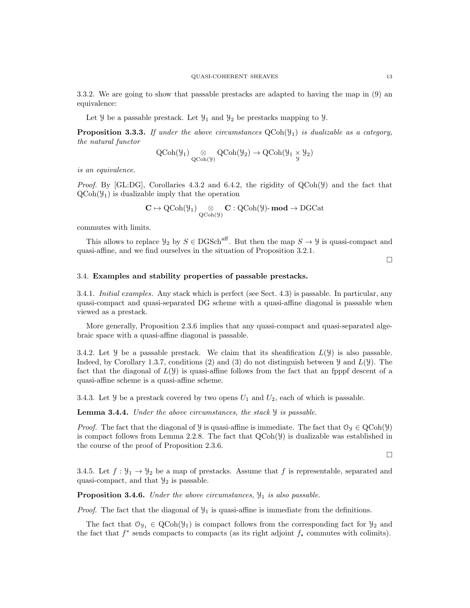3.3.2. We are going to show that passable prestacks are adapted to having the map in (9) an equivalence:

Let  $\mathcal{Y}$  be a passable prestack. Let  $\mathcal{Y}_1$  and  $\mathcal{Y}_2$  be prestacks mapping to  $\mathcal{Y}$ .

**Proposition 3.3.3.** If under the above circumstances  $QCoh(\mathcal{Y}_1)$  is dualizable as a category, the natural functor

$$
\operatorname{QCoh}(\mathcal{Y}_1) \underset{\operatorname{QCoh}(\mathcal{Y})}{\otimes} \operatorname{QCoh}(\mathcal{Y}_2) \to \operatorname{QCoh}(\mathcal{Y}_1 \underset{\mathcal{Y}}{\times} \mathcal{Y}_2)
$$

is an equivalence.

*Proof.* By [GL:DG], Corollaries 4.3.2 and 6.4.2, the rigidity of  $QCoh(Y)$  and the fact that  $QCoh(\mathcal{Y}_1)$  is dualizable imply that the operation

$$
\mathbf{C}\mapsto \operatorname{QCoh}(\mathcal{Y}_{1})\underset{\operatorname{QCoh}(\mathcal{Y})}{\otimes}\mathbf{C}:\operatorname{QCoh}(\mathcal{Y})\text{-}\operatorname{\mathbf{mod}}\to \operatorname{DGCat}
$$

commutes with limits.

This allows to replace  $\mathcal{Y}_2$  by  $S \in \text{DGSch}^{\text{aff}}$ . But then the map  $S \to \mathcal{Y}$  is quasi-compact and quasi-affine, and we find ourselves in the situation of Proposition 3.2.1.

 $\Box$ 

# 3.4. Examples and stability properties of passable prestacks.

3.4.1. Initial examples. Any stack which is perfect (see Sect. 4.3) is passable. In particular, any quasi-compact and quasi-separated DG scheme with a quasi-affine diagonal is passable when viewed as a prestack.

More generally, Proposition 2.3.6 implies that any quasi-compact and quasi-separated algebraic space with a quasi-affine diagonal is passable.

3.4.2. Let  $\mathcal Y$  be a passable prestack. We claim that its sheafification  $L(\mathcal Y)$  is also passable. Indeed, by Corollary 1.3.7, conditions (2) and (3) do not distinguish between  $\mathcal{Y}$  and  $L(\mathcal{Y})$ . The fact that the diagonal of  $L(\mathcal{Y})$  is quasi-affine follows from the fact that an fpppf descent of a quasi-affine scheme is a quasi-affine scheme.

3.4.3. Let  $\mathcal Y$  be a prestack covered by two opens  $U_1$  and  $U_2$ , each of which is passable.

**Lemma 3.4.4.** Under the above circumstances, the stack  $\mathcal{Y}$  is passable.

*Proof.* The fact that the diagonal of *y* is quasi-affine is immediate. The fact that  $\mathcal{O}_y \in \text{QCoh}(\mathcal{Y})$ is compact follows from Lemma 2.2.8. The fact that  $QCoh(\mathcal{Y})$  is dualizable was established in the course of the proof of Proposition 2.3.6.

 $\Box$ 

3.4.5. Let  $f: \mathcal{Y}_1 \to \mathcal{Y}_2$  be a map of prestacks. Assume that f is representable, separated and quasi-compact, and that  $\mathcal{Y}_2$  is passable.

**Proposition 3.4.6.** Under the above circumstances,  $\mathcal{Y}_1$  is also passable.

*Proof.* The fact that the diagonal of  $\mathcal{Y}_1$  is quasi-affine is immediate from the definitions.

The fact that  $\mathcal{O}_{\mathcal{Y}_1} \in \text{QCoh}(\mathcal{Y}_1)$  is compact follows from the corresponding fact for  $\mathcal{Y}_2$  and the fact that  $f^*$  sends compacts to compacts (as its right adjoint  $f_*$  commutes with colimits).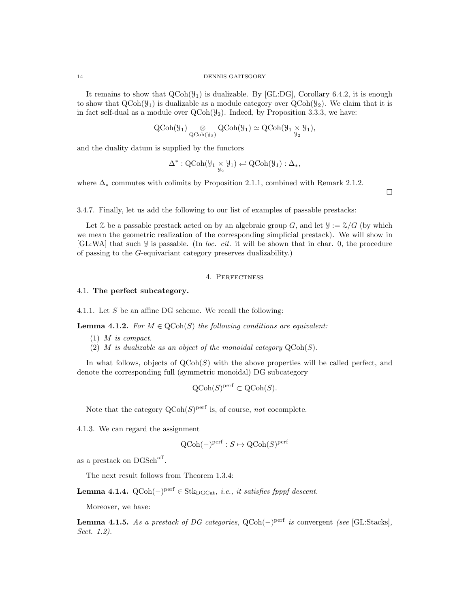It remains to show that  $QCoh(\mathcal{Y}_1)$  is dualizable. By [GL:DG], Corollary 6.4.2, it is enough to show that  $QCoh(\mathcal{Y}_1)$  is dualizable as a module category over  $QCoh(\mathcal{Y}_2)$ . We claim that it is in fact self-dual as a module over  $QCoh(\mathcal{Y}_2)$ . Indeed, by Proposition 3.3.3, we have:

$$
\operatorname{QCoh}(\mathcal{Y}_1) \underset{\operatorname{QCoh}(\mathcal{Y}_2)}{\otimes} \operatorname{QCoh}(\mathcal{Y}_1) \simeq \operatorname{QCoh}(\mathcal{Y}_1 \underset{\mathcal{Y}_2}{\times} \mathcal{Y}_1),
$$

and the duality datum is supplied by the functors

$$
\Delta^*:\mathrm{QCoh}(\mathcal{Y}_1\times \mathcal{Y}_1)\rightleftarrows \mathrm{QCoh}(\mathcal{Y}_1):\Delta_*,
$$

where  $\Delta_*$  commutes with colimits by Proposition 2.1.1, combined with Remark 2.1.2.

 $\Box$ 

3.4.7. Finally, let us add the following to our list of examples of passable prestacks:

Let  $\mathcal Z$  be a passable prestack acted on by an algebraic group G, and let  $\mathcal Y := \mathcal Z/G$  (by which we mean the geometric realization of the corresponding simplicial prestack). We will show in [GL:WA] that such Y is passable. (In loc. cit. it will be shown that in char. 0, the procedure of passing to the G-equivariant category preserves dualizability.)

# 4. Perfectness

4.1. The perfect subcategory.

4.1.1. Let S be an affine DG scheme. We recall the following:

**Lemma 4.1.2.** For  $M \in \text{QCoh}(S)$  the following conditions are equivalent:

- (1) M is compact.
- (2) M is dualizable as an object of the monoidal category  $\mathrm{QCoh}(S)$ .

In what follows, objects of  $QCoh(S)$  with the above properties will be called perfect, and denote the corresponding full (symmetric monoidal) DG subcategory

$$
\mathrm{QCoh}(S)^{\mathrm{perf}} \subset \mathrm{QCoh}(S).
$$

Note that the category  $Q\text{Coh}(S)^\text{perf}$  is, of course, not cocomplete.

4.1.3. We can regard the assignment

$$
\text{QCoh}(-)^{\text{perf}} : S \mapsto \text{QCoh}(S)^{\text{perf}}
$$

as a prestack on DGSch<sup>aff</sup>.

The next result follows from Theorem 1.3.4:

**Lemma 4.1.4.** QCoh( $-$ )<sup>perf</sup>  $\in$  Stk<sub>DGCat</sub>, *i.e.*, *it satisfies fpppf descent.* 

Moreover, we have:

**Lemma 4.1.5.** As a prestack of DG categories,  $QCoh(-)$ <sup>perf</sup> is convergent (see [GL:Stacks], Sect. 1.2).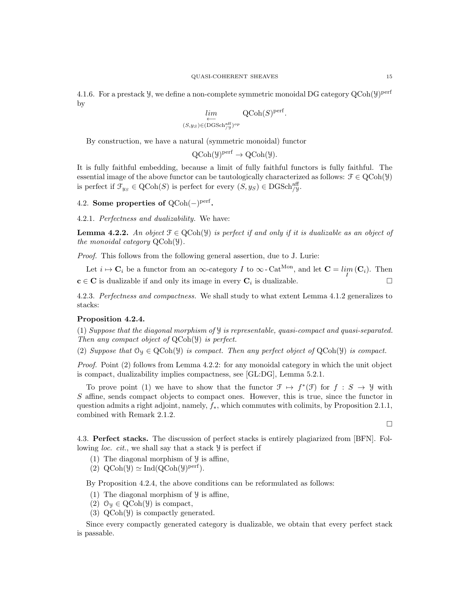4.1.6. For a prestack  $\mathcal{Y}$ , we define a non-complete symmetric monoidal DG category  $\operatorname{QCoh}(\mathcal{Y})^{\operatorname{perf}}$ by

$$
\lim_{\substack{\longleftarrow \\ (S,y_S) \in (\mathrm{DGSch}_{/\mathcal{Y}}^{\mathrm{aff}})^{op}}} \mathrm{QCoh}(S)^{\mathrm{perf}}.
$$

By construction, we have a natural (symmetric monoidal) functor

$$
QCoh(\mathcal{Y})^{perf} \to QCoh(\mathcal{Y}).
$$

It is fully faithful embedding, because a limit of fully faithful functors is fully faithful. The essential image of the above functor can be tautologically characterized as follows:  $\mathcal{F} \in \text{QCoh}(\mathcal{Y})$ is perfect if  $\mathcal{F}_{y_S} \in \text{QCoh}(S)$  is perfect for every  $(S, y_S) \in \text{DGSch}_{y}^{\text{aff}}$ .

4.2. Some properties of  $QCoh(-)$ <sup>perf</sup>.

4.2.1. Perfectness and dualizability. We have:

**Lemma 4.2.2.** An object  $\mathcal{F} \in \text{QCoh}(\mathcal{Y})$  is perfect if and only if it is dualizable as an object of the monoidal category QCoh(Y).

Proof. This follows from the following general assertion, due to J. Lurie:

Let  $i \mapsto \mathbf{C}_i$  be a functor from an  $\infty$ -category I to  $\infty$ -Cat<sup>Mon</sup>, and let  $\mathbf{C} = \lim_{I} (\mathbf{C}_i)$ . Then  $c \in C$  is dualizable if and only its image in every  $C_i$  is dualizable.

4.2.3. Perfectness and compactness. We shall study to what extent Lemma 4.1.2 generalizes to stacks:

#### Proposition 4.2.4.

(1) Suppose that the diagonal morphism of Y is representable, quasi-compact and quasi-separated. Then any compact object of QCoh(Y) is perfect.

(2) Suppose that  $\mathcal{O}_\mathcal{Y} \in \text{QCoh}(\mathcal{Y})$  is compact. Then any perfect object of  $\text{QCoh}(\mathcal{Y})$  is compact.

Proof. Point (2) follows from Lemma 4.2.2: for any monoidal category in which the unit object is compact, dualizability implies compactness, see [GL:DG], Lemma 5.2.1.

To prove point (1) we have to show that the functor  $\mathcal{F} \mapsto f^*(\mathcal{F})$  for  $f : S \to \mathcal{Y}$  with S affine, sends compact objects to compact ones. However, this is true, since the functor in question admits a right adjoint, namely,  $f_*$ , which commutes with colimits, by Proposition 2.1.1, combined with Remark 2.1.2.

 $\Box$ 

4.3. Perfect stacks. The discussion of perfect stacks is entirely plagiarized from [BFN]. Following loc. cit., we shall say that a stack Y is perfect if

- (1) The diagonal morphism of  $\mathcal{Y}$  is affine,
- (2)  $\text{QCoh}(\mathcal{Y}) \simeq \text{Ind}(\text{QCoh}(\mathcal{Y})^{\text{perf}})$ .

By Proposition 4.2.4, the above conditions can be reformulated as follows:

- (1) The diagonal morphism of  $\mathcal{Y}$  is affine,
- (2)  $\mathcal{O}_y \in \text{QCoh}(\mathcal{Y})$  is compact,
- (3) QCoh(Y) is compactly generated.

Since every compactly generated category is dualizable, we obtain that every perfect stack is passable.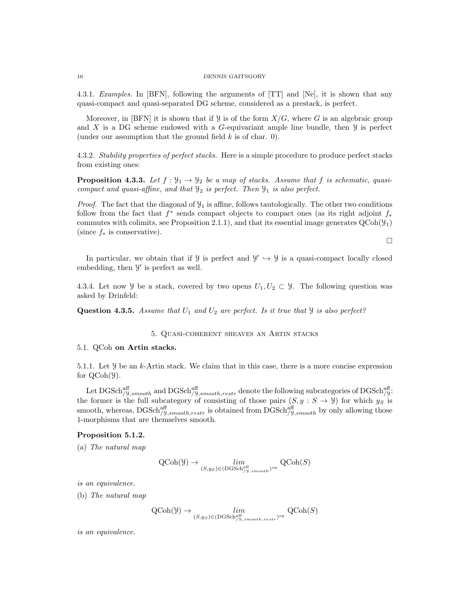4.3.1. Examples. In [BFN], following the arguments of [TT] and [Ne], it is shown that any quasi-compact and quasi-separated DG scheme, considered as a prestack, is perfect.

Moreover, in [BFN] it is shown that if  $\mathcal{Y}$  is of the form  $X/G$ , where G is an algebraic group and X is a DG scheme endowed with a G-equivariant ample line bundle, then  $\mathcal Y$  is perfect (under our assumption that the ground field  $k$  is of char. 0).

4.3.2. Stability properties of perfect stacks. Here is a simple procedure to produce perfect stacks from existing ones:

**Proposition 4.3.3.** Let  $f : \mathcal{Y}_1 \to \mathcal{Y}_2$  be a map of stacks. Assume that f is schematic, quasicompact and quasi-affine, and that  $\mathcal{Y}_2$  is perfect. Then  $\mathcal{Y}_1$  is also perfect.

*Proof.* The fact that the diagonal of  $\mathcal{Y}_1$  is affine, follows tautologically. The other two conditions follow from the fact that  $f^*$  sends compact objects to compact ones (as its right adjoint  $f_*$ commutes with colimits, see Proposition 2.1.1), and that its essential image generates  $QCoh(\mathcal{Y}_1)$ (since  $f_*$  is conservative).

 $\Box$ 

In particular, we obtain that if  $\mathcal{Y}$  is perfect and  $\mathcal{Y}' \hookrightarrow \mathcal{Y}$  is a quasi-compact locally closed embedding, then  $\mathcal{Y}'$  is perfect as well.

4.3.4. Let now y be a stack, covered by two opens  $U_1, U_2 \subset \mathcal{Y}$ . The following question was asked by Drinfeld:

**Question 4.3.5.** Assume that  $U_1$  and  $U_2$  are perfect. Is it true that  $\mathcal{Y}$  is also perfect?

# 5. Quasi-coherent sheaves an Artin stacks

#### 5.1. QCoh on Artin stacks.

5.1.1. Let  $\mathcal Y$  be an k-Artin stack. We claim that in this case, there is a more concise expression for QCoh(Y).

Let  $\mathrm{DGSch}_{/\text{Y},smooth}^{\text{aff}}$  and  $\mathrm{DGSch}_{/\text{Y},smooth,restr}^{\text{aff}}$  denote the following subcategories of  $\mathrm{DGSch}_{/\text{Y}}^{\text{aff}}$ . the former is the full subcategory of consisting of those pairs  $(S, y : S \rightarrow Y)$  for which  $y_S$  is smooth, whereas,  $DGSch_{/Y,smooth,restr}^{aff}$  is obtained from  $DGSch_{/Y,smooth}^{aff}$  by only allowing those 1-morphisms that are themselves smooth.

# Proposition 5.1.2.

(a) The natural map

$$
\operatorname{QCoh}(\mathcal{Y}) \to \lim_{(S, y_S) \in (\operatorname{DGSch}^{\operatorname{aff}}_{/y, smooth})^{op}} \operatorname{QCoh}(S)
$$

is an equivalence.

(b) The natural map

$$
\operatorname{QCoh}(\mathcal{Y}) \to \lim_{(S, ys) \in (\text{DGSch}^{\text{aff}}_{/y, smooth, restr})^{op}} \operatorname{QCoh}(S)
$$

is an equivalence.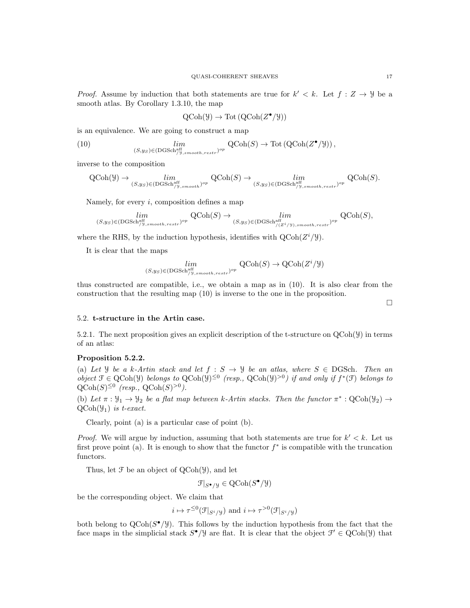*Proof.* Assume by induction that both statements are true for  $k' < k$ . Let  $f : Z \to Y$  be a smooth atlas. By Corollary 1.3.10, the map

$$
\mathrm{QCoh}(\mathcal{Y}) \to \mathrm{Tot}\left(\mathrm{QCoh}(Z^{\bullet}/\mathcal{Y})\right)
$$

is an equivalence. We are going to construct a map

(10) 
$$
\lim_{(S,y_S)\in(\text{DGSch}_{/y,smooth,restr}^{\text{aff}})^{op}} Q\text{Coh}(S) \to \text{Tot}(\text{QCoh}(Z^{\bullet}/\mathcal{Y})),
$$

inverse to the composition

$$
\operatorname{QCoh}(\mathcal Y) \to \lim_{(S, y_S) \in (\operatorname{DGSch}_{/\mathcal Y, smooth}^{\operatorname{aff}})^{op}} \operatorname{QCoh}(S) \to \lim_{(S, y_S) \in (\operatorname{DGSch}_{/\mathcal Y, smooth, restr})^{op}} \operatorname{QCoh}(S).
$$

Namely, for every  $i$ , composition defines a map

$$
\lim_{(S, y_S) \in (\mathrm{DGSch}_{/y,smooth,restr}^{\mathrm{aff}})^{op}} \mathrm{QCoh}(S) \to \lim_{(S, y_S) \in (\mathrm{DGSch}_{/(Z^i/y),smooth,restr})^{op}} \mathrm{QCoh}(S),
$$

where the RHS, by the induction hypothesis, identifies with  $Q\text{Coh}(Z^i/\mathcal{Y})$ .

It is clear that the maps

$$
\lim_{(S,y_S)\in (\text{DGSch}^{\text{aff}}_{/y,smooth,restr})^{op}} \text{QCoh}(S) \to \text{QCoh}(Z^i/y)
$$

thus constructed are compatible, i.e., we obtain a map as in (10). It is also clear from the construction that the resulting map (10) is inverse to the one in the proposition.

# 5.2. t-structure in the Artin case.

5.2.1. The next proposition gives an explicit description of the t-structure on QCoh(Y) in terms of an atlas:

# Proposition 5.2.2.

(a) Let *Y* be a k-Artin stack and let  $f : S \rightarrow Y$  be an atlas, where  $S \in DGSch$ . Then an object  $\mathcal{F} \in \text{QCoh}(\mathcal{Y})$  belongs to  $\text{QCoh}(\mathcal{Y})^{\leq 0}$  (resp.,  $\text{QCoh}(\mathcal{Y})^{>0}$ ) if and only if  $f^*(\mathcal{F})$  belongs to  $\mathrm{QCoh}(S)^{\leq 0}$  (resp.,  $\mathrm{QCoh}(S)^{>0}$ ).

(b) Let  $\pi : \mathcal{Y}_1 \to \mathcal{Y}_2$  be a flat map between k-Artin stacks. Then the functor  $\pi^* : \text{QCoh}(\mathcal{Y}_2) \to$  $QCoh(\mathcal{Y}_1)$  is t-exact.

Clearly, point (a) is a particular case of point (b).

*Proof.* We will argue by induction, assuming that both statements are true for  $k' < k$ . Let us first prove point (a). It is enough to show that the functor  $f^*$  is compatible with the truncation functors.

Thus, let  $\mathcal F$  be an object of  $QCoh(\mathcal Y)$ , and let

$$
\mathcal{F}|_{S^{\bullet}/\mathcal{Y}} \in \text{QCoh}(S^{\bullet}/\mathcal{Y})
$$

be the corresponding object. We claim that

$$
i \mapsto \tau^{\leq 0}(\mathcal{F}|_{S^i/\mathcal{Y}})
$$
 and  $i \mapsto \tau^{>0}(\mathcal{F}|_{S^i/\mathcal{Y}})$ 

both belong to  $Q\text{Coh}(S^{\bullet}/\mathcal{Y})$ . This follows by the induction hypothesis from the fact that the face maps in the simplicial stack  $S^{\bullet}/\mathcal{Y}$  are flat. It is clear that the object  $\mathcal{F}' \in \text{QCoh}(\mathcal{Y})$  that

 $\Box$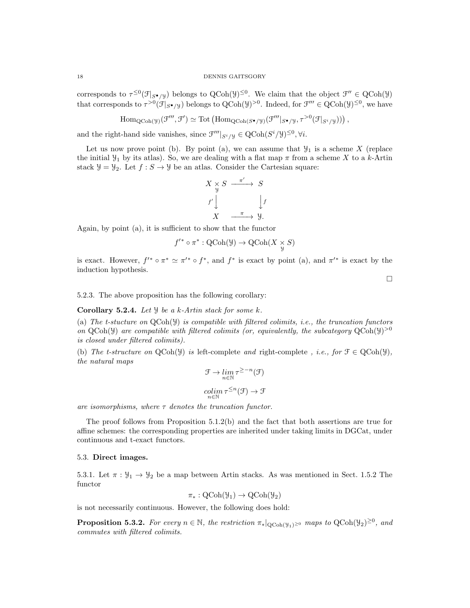corresponds to  $\tau^{\leq 0}(\mathcal{F}|_{S^{\bullet}/\mathcal{Y}})$  belongs to  $\mathrm{QCoh}(\mathcal{Y})^{\leq 0}$ . We claim that the object  $\mathcal{F}'' \in \mathrm{QCoh}(\mathcal{Y})$ that corresponds to  $\tau^{>0}(\mathcal{F}|_{S^{\bullet}/\mathcal{Y}})$  belongs to  $\text{QCoh}(\mathcal{Y})^{>0}$ . Indeed, for  $\mathcal{F}''' \in \text{QCoh}(\mathcal{Y})^{\leq 0}$ , we have

$$
\mathrm{Hom}_{\mathrm{QCoh}(\mathcal{Y})}(\mathcal{F}''', \mathcal{F}') \simeq \mathrm{Tot}\left(\mathrm{Hom}_{\mathrm{QCoh}(S^{\bullet}/\mathcal{Y})}(\mathcal{F}'''|_{S^{\bullet}/\mathcal{Y}}, \tau^{>0}(\mathcal{F}|_{S^i/\mathcal{Y}}))\right),
$$

and the right-hand side vanishes, since  $\mathcal{F}'''|_{S^i/\mathcal{Y}} \in \text{QCoh}(S^i/\mathcal{Y})^{\leq 0}, \forall i$ .

Let us now prove point (b). By point (a), we can assume that  $\mathcal{Y}_1$  is a scheme X (replace the initial  $\mathcal{Y}_1$  by its atlas). So, we are dealing with a flat map  $\pi$  from a scheme X to a k-Artin stack  $\mathcal{Y} = \mathcal{Y}_2$ . Let  $f : S \to \mathcal{Y}$  be an atlas. Consider the Cartesian square:

$$
X \underset{y}{\times} S \xrightarrow{\pi'} S
$$
  

$$
f' \downarrow \qquad \qquad \downarrow f
$$
  

$$
X \xrightarrow{\pi} Y.
$$

Again, by point (a), it is sufficient to show that the functor

$$
f'^* \circ \pi^* : \text{QCoh}(\mathcal{Y}) \to \text{QCoh}(X \underset{\mathcal{Y}}{\times} S)
$$

is exact. However,  $f'^* \circ \pi^* \simeq \pi'^* \circ f^*$ , and  $f^*$  is exact by point (a), and  $\pi'^*$  is exact by the induction hypothesis.

 $\Box$ 

5.2.3. The above proposition has the following corollary:

# **Corollary 5.2.4.** Let  $\mathcal{Y}$  be a k-Artin stack for some k.

(a) The t-stucture on  $QCoh(Y)$  is compatible with filtered colimits, i.e., the truncation functors on QCoh(y) are compatible with filtered colimits (or, equivalently, the subcategory  $QCoh(y)^{>0}$ is closed under filtered colimits).

(b) The t-structure on  $QCoh(\mathcal{Y})$  is left-complete and right-complete , i.e., for  $\mathcal{F} \in QCoh(\mathcal{Y})$ , the natural maps

$$
\mathcal{F} \to \lim_{n \in \mathbb{N}} \tau^{\geq -n}(\mathcal{F})
$$

$$
\underset{n \in \mathbb{N}}{\operatorname{colim}} \tau^{\leq n}(\mathcal{F}) \to \mathcal{F}
$$

are isomorphisms, where  $\tau$  denotes the truncation functor.

The proof follows from Proposition 5.1.2(b) and the fact that both assertions are true for affine schemes: the corresponding properties are inherited under taking limits in DGCat, under continuous and t-exact functors.

#### 5.3. Direct images.

5.3.1. Let  $\pi : \mathcal{Y}_1 \to \mathcal{Y}_2$  be a map between Artin stacks. As was mentioned in Sect. 1.5.2 The functor

$$
\pi_*: \mathrm{QCoh}(\mathcal{Y}_1) \to \mathrm{QCoh}(\mathcal{Y}_2)
$$

is not necessarily continuous. However, the following does hold:

**Proposition 5.3.2.** For every  $n \in \mathbb{N}$ , the restriction  $\pi_*|_{\text{QCoh}(\mathcal{Y}_1) \geq 0}$  maps to  $\text{QCoh}(\mathcal{Y}_2)^{\geq 0}$ , and commutes with filtered colimits.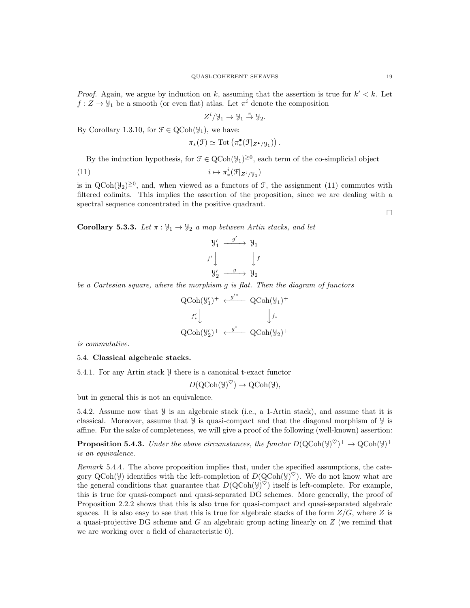*Proof.* Again, we argue by induction on k, assuming that the assertion is true for  $k' < k$ . Let  $f: Z \to \mathcal{Y}_1$  be a smooth (or even flat) atlas. Let  $\pi^i$  denote the composition

$$
Z^i/\mathcal{Y}_1\to \mathcal{Y}_1\stackrel{\pi}{\to} \mathcal{Y}_2.
$$

By Corollary 1.3.10, for  $\mathcal{F} \in \text{QCoh}(\mathcal{Y}_1)$ , we have:

$$
\pi_*(\mathfrak{F}) \simeq \mathrm{Tot}\left(\pi_*^{\bullet}(\mathfrak{F}|_{Z^{\bullet}/\mathcal{Y}_1})\right).
$$

By the induction hypothesis, for  $\mathcal{F} \in \text{QCoh}(\mathcal{Y}_1)^{\geq 0}$ , each term of the co-simplicial object

$$
(11) \t\t i \mapsto \pi^i_*(\mathcal{F}|_{Z^i/\mathcal{Y}_1})
$$

is in  $QCoh(\mathcal{Y}_2)^{\geq 0}$ , and, when viewed as a functors of  $\mathcal{F}$ , the assignment (11) commutes with filtered colimits. This implies the assertion of the proposition, since we are dealing with a spectral sequence concentrated in the positive quadrant.

 $\Box$ 

Corollary 5.3.3. Let  $\pi : \mathcal{Y}_1 \to \mathcal{Y}_2$  a map between Artin stacks, and let

$$
\begin{array}{ccc}\n\mathcal{Y}'_1 & \xrightarrow{g'} & \mathcal{Y}_1 \\
f' \downarrow & & \downarrow f \\
\mathcal{Y}'_2 & \xrightarrow{g} & \mathcal{Y}_2\n\end{array}
$$

be a Cartesian square, where the morphism g is flat. Then the diagram of functors

$$
\begin{array}{ccc}\mathrm{QCoh}(\mathcal{Y}_{1}')^{+} & \xleftarrow{g'^{*}} & \mathrm{QCoh}(\mathcal{Y}_{1})^{+} \\ & & & \downarrow f_{*}\\ \\ \mathrm{QCoh}(\mathcal{Y}_{2}')^{+} & \xleftarrow{g^{*}} & \mathrm{QCoh}(\mathcal{Y}_{2})^{+} \\ \end{array}
$$

is commutative.

## 5.4. Classical algebraic stacks.

5.4.1. For any Artin stack Y there is a canonical t-exact functor

$$
D(\mathrm{QCoh}(\mathcal{Y})^{\heartsuit}) \to \mathrm{QCoh}(\mathcal{Y}),
$$

but in general this is not an equivalence.

5.4.2. Assume now that  $\mathcal{Y}$  is an algebraic stack (i.e., a 1-Artin stack), and assume that it is classical. Moreover, assume that  $\mathcal Y$  is quasi-compact and that the diagonal morphism of  $\mathcal Y$  is affine. For the sake of completeness, we will give a proof of the following (well-known) assertion:

**Proposition 5.4.3.** Under the above circumstances, the functor  $D(QCoh(Y)^{\heartsuit})^+ \to QCoh(Y)^+$ is an equivalence.

Remark 5.4.4. The above proposition implies that, under the specified assumptions, the category  $QCoh(\mathcal{Y})$  identifies with the left-completion of  $D(QCoh(\mathcal{Y})^{\heartsuit})$ . We do not know what are the general conditions that guarantee that  $D(QCoh(y)^{\heartsuit})$  itself is left-complete. For example, this is true for quasi-compact and quasi-separated DG schemes. More generally, the proof of Proposition 2.2.2 shows that this is also true for quasi-compact and quasi-separated algebraic spaces. It is also easy to see that this is true for algebraic stacks of the form  $Z/G$ , where Z is a quasi-projective DG scheme and  $G$  an algebraic group acting linearly on  $Z$  (we remind that we are working over a field of characteristic 0).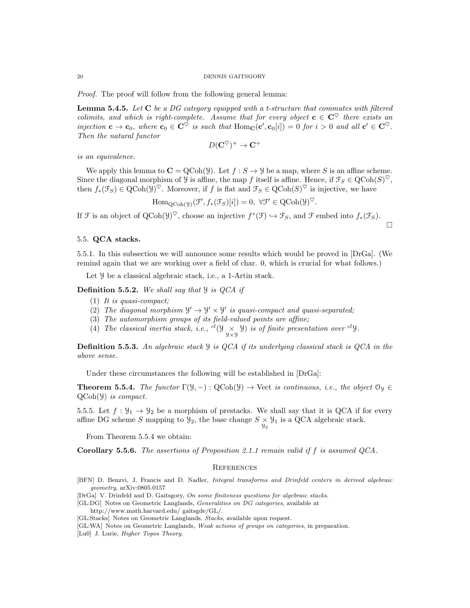Proof. The proof will follow from the following general lemma:

**Lemma 5.4.5.** Let  $C$  be a DG category equipped with a t-structure that commutes with filtered colimits, and which is right-complete. Assume that for every object  $c \in C^{\heartsuit}$  there exists an injection  $\mathbf{c} \to \mathbf{c}_0$ , where  $\mathbf{c}_0 \in \mathbf{C}^{\heartsuit}$  is such that  $\text{Hom}_{\mathbf{C}}(\mathbf{c}', \mathbf{c}_0[i]) = 0$  for  $i > 0$  and all  $\mathbf{c}' \in \mathbf{C}^{\heartsuit}$ . Then the natural functor

$$
D(\mathbf{C}^{\heartsuit})^+\to\mathbf{C}^+
$$

is an equivalence.

We apply this lemma to  $\mathbf{C} = \text{QCoh}(\mathcal{Y})$ . Let  $f : S \to \mathcal{Y}$  be a map, where S is an affine scheme. Since the diagonal morphism of  $\mathcal Y$  is affine, the map f itself is affine. Hence, if  $\mathcal T_S \in \mathrm{QCoh}(S)^\heartsuit$ , then  $f_*(\mathcal{F}_S) \in \text{QCoh}(\mathcal{Y})^{\heartsuit}$ . Moreover, if f is flat and  $\mathcal{F}_S \in \text{QCoh}(S)^{\heartsuit}$  is injective, we have

 $\text{Hom}_{\text{QCoh}(\mathcal{Y})}(\mathcal{F}', f_*(\mathcal{F}_S)[i]) = 0, \ \forall \mathcal{F}' \in \text{QCoh}(\mathcal{Y})^{\heartsuit}.$ 

 $\Box$ 

If  $\mathcal F$  is an object of  $QCoh(\mathcal Y)^{\heartsuit}$ , choose an injective  $f^*(\mathcal Y) \hookrightarrow \mathcal F_S$ , and  $\mathcal F$  embed into  $f_*(\mathcal F_S)$ .

# 5.5. QCA stacks.

5.5.1. In this subsection we will announce some results which would be proved in [DrGa]. (We remind again that we are working over a field of char. 0, which is crucial for what follows.)

Let  $\mathcal Y$  be a classical algebraic stack, i.e., a 1-Artin stack.

**Definition 5.5.2.** We shall say that  $\mathcal{Y}$  is QCA if

- (1) It is quasi-compact;
- (2) The diagonal morphism  $\mathcal{Y}' \to \mathcal{Y}' \times \mathcal{Y}'$  is quasi-compact and quasi-separated;
- (3) The automorphism groups of its field-valued points are affine;
- (4) The classical inertia stack, i.e., <sup>cl</sup>( $\mathcal{Y}$ <sub>y x</sub>y) is of finite presentation over <sup>cl</sup>y.

**Definition 5.5.3.** An algebraic stack  $\mathcal{Y}$  is QCA if its underlying classical stack is QCA in the above sense.

Under these circumstances the following will be established in [DrGa]:

**Theorem 5.5.4.** The functor  $\Gamma(\mathcal{Y}, -): \text{QCoh}(\mathcal{Y}) \to \text{Vect}$  is continuous, i.e., the object  $\mathcal{O}_{\mathcal{Y}} \in$  $QCoh(\mathcal{Y})$  is compact.

5.5.5. Let  $f: \mathcal{Y}_1 \to \mathcal{Y}_2$  be a morphism of prestacks. We shall say that it is QCA if for every affine DG scheme S mapping to  $\mathcal{Y}_2$ , the base change  $S \times \mathcal{Y}_1$  is a QCA algebraic stack.

From Theorem 5.5.4 we obtain:

Corollary 5.5.6. The assertions of Proposition 2.1.1 remain valid if f is assumed QCA.

#### **REFERENCES**

- [BFN] D. Benzvi, J. Francis and D. Nadler, Integral transforms and Drinfeld centers in derived algebraic geometry, arXiv:0805.0157
- [DrGa] V. Drinfeld and D. Gaitsgory, On some finiteness questions for algebraic stacks.
- [GL:DG] Notes on Geometric Langlands, Generalities on DG categories, available at
	- http://www.math.harvard.edu/ gaitsgde/GL/.
- [GL:Stacks] Notes on Geometric Langlands, Stacks, available upon request.
- [GL:WA] Notes on Geometric Langlands, Weak actions of groups on categories, in preparation.
- [Lu0] J. Lurie, *Higher Topos Theory*.